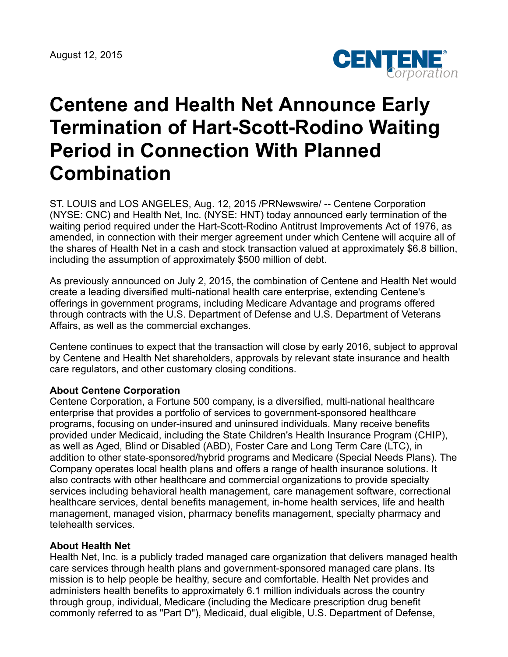

# **Centene and Health Net Announce Early Termination of Hart-Scott-Rodino Waiting Period in Connection With Planned Combination**

ST. LOUIS and LOS ANGELES, Aug. 12, 2015 /PRNewswire/ -- Centene Corporation (NYSE: CNC) and Health Net, Inc. (NYSE: HNT) today announced early termination of the waiting period required under the Hart-Scott-Rodino Antitrust Improvements Act of 1976, as amended, in connection with their merger agreement under which Centene will acquire all of the shares of Health Net in a cash and stock transaction valued at approximately \$6.8 billion, including the assumption of approximately \$500 million of debt.

As previously announced on July 2, 2015, the combination of Centene and Health Net would create a leading diversified multi-national health care enterprise, extending Centene's offerings in government programs, including Medicare Advantage and programs offered through contracts with the U.S. Department of Defense and U.S. Department of Veterans Affairs, as well as the commercial exchanges.

Centene continues to expect that the transaction will close by early 2016, subject to approval by Centene and Health Net shareholders, approvals by relevant state insurance and health care regulators, and other customary closing conditions.

#### **About Centene Corporation**

Centene Corporation, a Fortune 500 company, is a diversified, multi-national healthcare enterprise that provides a portfolio of services to government-sponsored healthcare programs, focusing on under-insured and uninsured individuals. Many receive benefits provided under Medicaid, including the State Children's Health Insurance Program (CHIP), as well as Aged, Blind or Disabled (ABD), Foster Care and Long Term Care (LTC), in addition to other state-sponsored/hybrid programs and Medicare (Special Needs Plans). The Company operates local health plans and offers a range of health insurance solutions. It also contracts with other healthcare and commercial organizations to provide specialty services including behavioral health management, care management software, correctional healthcare services, dental benefits management, in-home health services, life and health management, managed vision, pharmacy benefits management, specialty pharmacy and telehealth services.

#### **About Health Net**

Health Net, Inc. is a publicly traded managed care organization that delivers managed health care services through health plans and government-sponsored managed care plans. Its mission is to help people be healthy, secure and comfortable. Health Net provides and administers health benefits to approximately 6.1 million individuals across the country through group, individual, Medicare (including the Medicare prescription drug benefit commonly referred to as "Part D"), Medicaid, dual eligible, U.S. Department of Defense,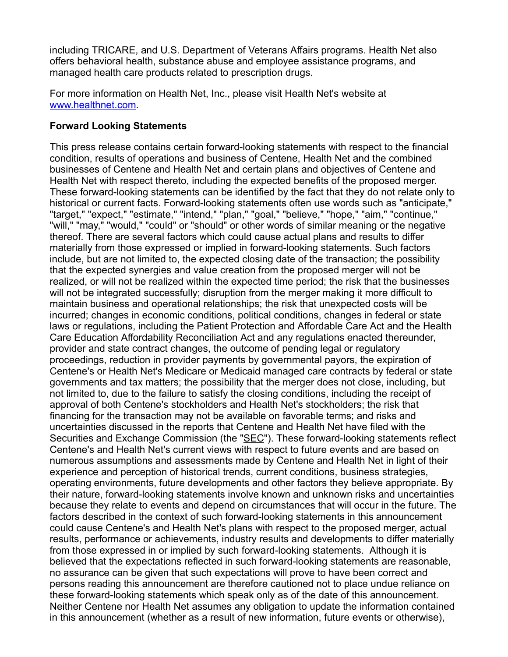including TRICARE, and U.S. Department of Veterans Affairs programs. Health Net also offers behavioral health, substance abuse and employee assistance programs, and managed health care products related to prescription drugs.

For more information on Health Net, Inc., please visit Health Net's website at [www.healthnet.com](http://www.healthnet.com/).

#### **Forward Looking Statements**

This press release contains certain forward-looking statements with respect to the financial condition, results of operations and business of Centene, Health Net and the combined businesses of Centene and Health Net and certain plans and objectives of Centene and Health Net with respect thereto, including the expected benefits of the proposed merger. These forward-looking statements can be identified by the fact that they do not relate only to historical or current facts. Forward-looking statements often use words such as "anticipate," "target," "expect," "estimate," "intend," "plan," "goal," "believe," "hope," "aim," "continue," "will," "may," "would," "could" or "should" or other words of similar meaning or the negative thereof. There are several factors which could cause actual plans and results to differ materially from those expressed or implied in forward-looking statements. Such factors include, but are not limited to, the expected closing date of the transaction; the possibility that the expected synergies and value creation from the proposed merger will not be realized, or will not be realized within the expected time period; the risk that the businesses will not be integrated successfully; disruption from the merger making it more difficult to maintain business and operational relationships; the risk that unexpected costs will be incurred; changes in economic conditions, political conditions, changes in federal or state laws or regulations, including the Patient Protection and Affordable Care Act and the Health Care Education Affordability Reconciliation Act and any regulations enacted thereunder, provider and state contract changes, the outcome of pending legal or regulatory proceedings, reduction in provider payments by governmental payors, the expiration of Centene's or Health Net's Medicare or Medicaid managed care contracts by federal or state governments and tax matters; the possibility that the merger does not close, including, but not limited to, due to the failure to satisfy the closing conditions, including the receipt of approval of both Centene's stockholders and Health Net's stockholders; the risk that financing for the transaction may not be available on favorable terms; and risks and uncertainties discussed in the reports that Centene and Health Net have filed with the Securities and Exchange Commission (the "SEC"). These forward-looking statements reflect Centene's and Health Net's current views with respect to future events and are based on numerous assumptions and assessments made by Centene and Health Net in light of their experience and perception of historical trends, current conditions, business strategies, operating environments, future developments and other factors they believe appropriate. By their nature, forward-looking statements involve known and unknown risks and uncertainties because they relate to events and depend on circumstances that will occur in the future. The factors described in the context of such forward-looking statements in this announcement could cause Centene's and Health Net's plans with respect to the proposed merger, actual results, performance or achievements, industry results and developments to differ materially from those expressed in or implied by such forward-looking statements. Although it is believed that the expectations reflected in such forward-looking statements are reasonable, no assurance can be given that such expectations will prove to have been correct and persons reading this announcement are therefore cautioned not to place undue reliance on these forward-looking statements which speak only as of the date of this announcement. Neither Centene nor Health Net assumes any obligation to update the information contained in this announcement (whether as a result of new information, future events or otherwise),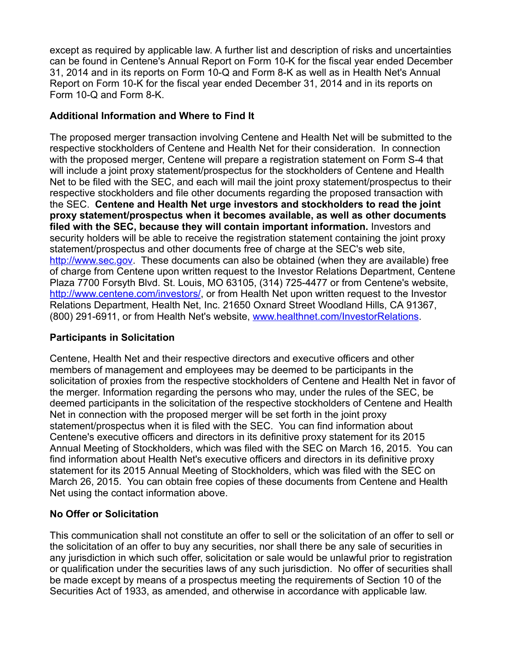except as required by applicable law. A further list and description of risks and uncertainties can be found in Centene's Annual Report on Form 10-K for the fiscal year ended December 31, 2014 and in its reports on Form 10-Q and Form 8-K as well as in Health Net's Annual Report on Form 10-K for the fiscal year ended December 31, 2014 and in its reports on Form 10-Q and Form 8-K.

## **Additional Information and Where to Find It**

The proposed merger transaction involving Centene and Health Net will be submitted to the respective stockholders of Centene and Health Net for their consideration. In connection with the proposed merger, Centene will prepare a registration statement on Form S-4 that will include a joint proxy statement/prospectus for the stockholders of Centene and Health Net to be filed with the SEC, and each will mail the joint proxy statement/prospectus to their respective stockholders and file other documents regarding the proposed transaction with the SEC. **Centene and Health Net urge investors and stockholders to read the joint proxy statement/prospectus when it becomes available, as well as other documents filed with the SEC, because they will contain important information.** Investors and security holders will be able to receive the registration statement containing the joint proxy statement/prospectus and other documents free of charge at the SEC's web site, [http://www.sec.gov](http://www.sec.gov/). These documents can also be obtained (when they are available) free of charge from Centene upon written request to the Investor Relations Department, Centene Plaza 7700 Forsyth Blvd. St. Louis, MO 63105, (314) 725-4477 or from Centene's website, <http://www.centene.com/investors/>, or from Health Net upon written request to the Investor Relations Department, Health Net, Inc. 21650 Oxnard Street Woodland Hills, CA 91367, (800) 291-6911, or from Health Net's website, [www.healthnet.com/InvestorRelations.](http://www.healthnet.com/InvestorRelations)

# **Participants in Solicitation**

Centene, Health Net and their respective directors and executive officers and other members of management and employees may be deemed to be participants in the solicitation of proxies from the respective stockholders of Centene and Health Net in favor of the merger. Information regarding the persons who may, under the rules of the SEC, be deemed participants in the solicitation of the respective stockholders of Centene and Health Net in connection with the proposed merger will be set forth in the joint proxy statement/prospectus when it is filed with the SEC. You can find information about Centene's executive officers and directors in its definitive proxy statement for its 2015 Annual Meeting of Stockholders, which was filed with the SEC on March 16, 2015. You can find information about Health Net's executive officers and directors in its definitive proxy statement for its 2015 Annual Meeting of Stockholders, which was filed with the SEC on March 26, 2015. You can obtain free copies of these documents from Centene and Health Net using the contact information above.

### **No Offer or Solicitation**

This communication shall not constitute an offer to sell or the solicitation of an offer to sell or the solicitation of an offer to buy any securities, nor shall there be any sale of securities in any jurisdiction in which such offer, solicitation or sale would be unlawful prior to registration or qualification under the securities laws of any such jurisdiction. No offer of securities shall be made except by means of a prospectus meeting the requirements of Section 10 of the Securities Act of 1933, as amended, and otherwise in accordance with applicable law.